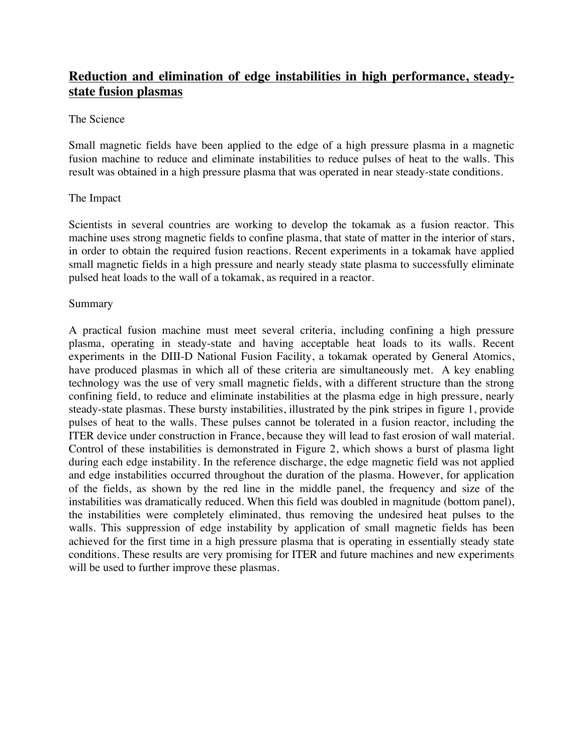## **Reduction and elimination of edge instabilities in high performance, steadystate fusion plasmas**

## The Science

Small magnetic fields have been applied to the edge of a high pressure plasma in a magnetic fusion machine to reduce and eliminate instabilities to reduce pulses of heat to the walls. This result was obtained in a high pressure plasma that was operated in near steady-state conditions.

## The Impact

Scientists in several countries are working to develop the tokamak as a fusion reactor. This machine uses strong magnetic fields to confine plasma, that state of matter in the interior of stars, in order to obtain the required fusion reactions. Recent experiments in a tokamak have applied small magnetic fields in a high pressure and nearly steady state plasma to successfully eliminate pulsed heat loads to the wall of a tokamak, as required in a reactor.

## Summary

A practical fusion machine must meet several criteria, including confining a high pressure plasma, operating in steady-state and having acceptable heat loads to its walls. Recent experiments in the DIII-D National Fusion Facility, a tokamak operated by General Atomics, have produced plasmas in which all of these criteria are simultaneously met. A key enabling technology was the use of very small magnetic fields, with a different structure than the strong confining field, to reduce and eliminate instabilities at the plasma edge in high pressure, nearly steady-state plasmas. These bursty instabilities, illustrated by the pink stripes in figure 1, provide pulses of heat to the walls. These pulses cannot be tolerated in a fusion reactor, including the ITER device under construction in France, because they will lead to fast erosion of wall material. Control of these instabilities is demonstrated in Figure 2, which shows a burst of plasma light during each edge instability. In the reference discharge, the edge magnetic field was not applied and edge instabilities occurred throughout the duration of the plasma. However, for application of the fields, as shown by the red line in the middle panel, the frequency and size of the instabilities was dramatically reduced. When this field was doubled in magnitude (bottom panel), the instabilities were completely eliminated, thus removing the undesired heat pulses to the walls. This suppression of edge instability by application of small magnetic fields has been achieved for the first time in a high pressure plasma that is operating in essentially steady state conditions. These results are very promising for ITER and future machines and new experiments will be used to further improve these plasmas.